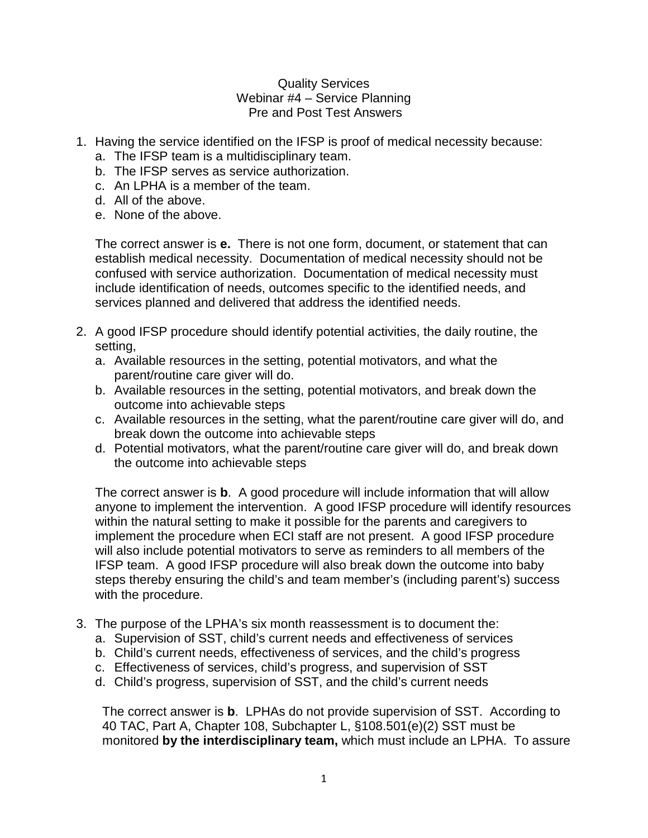## Quality Services Webinar #4 – Service Planning Pre and Post Test Answers

- 1. Having the service identified on the IFSP is proof of medical necessity because:
	- a. The IFSP team is a multidisciplinary team.
	- b. The IFSP serves as service authorization.
	- c. An LPHA is a member of the team.
	- d. All of the above.
	- e. None of the above.

The correct answer is **e.** There is not one form, document, or statement that can establish medical necessity. Documentation of medical necessity should not be confused with service authorization. Documentation of medical necessity must include identification of needs, outcomes specific to the identified needs, and services planned and delivered that address the identified needs.

- 2. A good IFSP procedure should identify potential activities, the daily routine, the setting,
	- a. Available resources in the setting, potential motivators, and what the parent/routine care giver will do.
	- b. Available resources in the setting, potential motivators, and break down the outcome into achievable steps
	- c. Available resources in the setting, what the parent/routine care giver will do, and break down the outcome into achievable steps
	- d. Potential motivators, what the parent/routine care giver will do, and break down the outcome into achievable steps

The correct answer is **b**. A good procedure will include information that will allow anyone to implement the intervention. A good IFSP procedure will identify resources within the natural setting to make it possible for the parents and caregivers to implement the procedure when ECI staff are not present. A good IFSP procedure will also include potential motivators to serve as reminders to all members of the IFSP team. A good IFSP procedure will also break down the outcome into baby steps thereby ensuring the child's and team member's (including parent's) success with the procedure.

- 3. The purpose of the LPHA's six month reassessment is to document the:
	- a. Supervision of SST, child's current needs and effectiveness of services
	- b. Child's current needs, effectiveness of services, and the child's progress
	- c. Effectiveness of services, child's progress, and supervision of SST
	- d. Child's progress, supervision of SST, and the child's current needs

The correct answer is **b**. LPHAs do not provide supervision of SST. According to 40 TAC, Part A, Chapter 108, Subchapter L, §108.501(e)(2) SST must be monitored **by the interdisciplinary team,** which must include an LPHA. To assure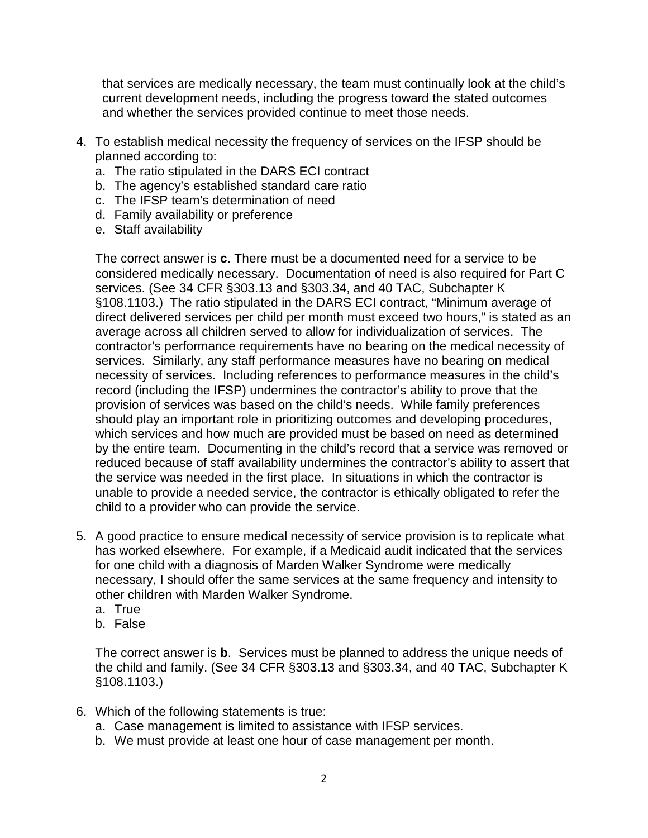that services are medically necessary, the team must continually look at the child's current development needs, including the progress toward the stated outcomes and whether the services provided continue to meet those needs.

- 4. To establish medical necessity the frequency of services on the IFSP should be planned according to:
	- a. The ratio stipulated in the DARS ECI contract
	- b. The agency's established standard care ratio
	- c. The IFSP team's determination of need
	- d. Family availability or preference
	- e. Staff availability

The correct answer is **c**. There must be a documented need for a service to be considered medically necessary. Documentation of need is also required for Part C services. (See 34 CFR §303.13 and §303.34, and 40 TAC, Subchapter K §108.1103.) The ratio stipulated in the DARS ECI contract, "Minimum average of direct delivered services per child per month must exceed two hours," is stated as an average across all children served to allow for individualization of services. The contractor's performance requirements have no bearing on the medical necessity of services. Similarly, any staff performance measures have no bearing on medical necessity of services. Including references to performance measures in the child's record (including the IFSP) undermines the contractor's ability to prove that the provision of services was based on the child's needs. While family preferences should play an important role in prioritizing outcomes and developing procedures, which services and how much are provided must be based on need as determined by the entire team. Documenting in the child's record that a service was removed or reduced because of staff availability undermines the contractor's ability to assert that the service was needed in the first place. In situations in which the contractor is unable to provide a needed service, the contractor is ethically obligated to refer the child to a provider who can provide the service.

- 5. A good practice to ensure medical necessity of service provision is to replicate what has worked elsewhere. For example, if a Medicaid audit indicated that the services for one child with a diagnosis of Marden Walker Syndrome were medically necessary, I should offer the same services at the same frequency and intensity to other children with Marden Walker Syndrome.
	- a. True
	- b. False

The correct answer is **b**. Services must be planned to address the unique needs of the child and family. (See 34 CFR §303.13 and §303.34, and 40 TAC, Subchapter K §108.1103.)

- 6. Which of the following statements is true:
	- a. Case management is limited to assistance with IFSP services.
	- b. We must provide at least one hour of case management per month.